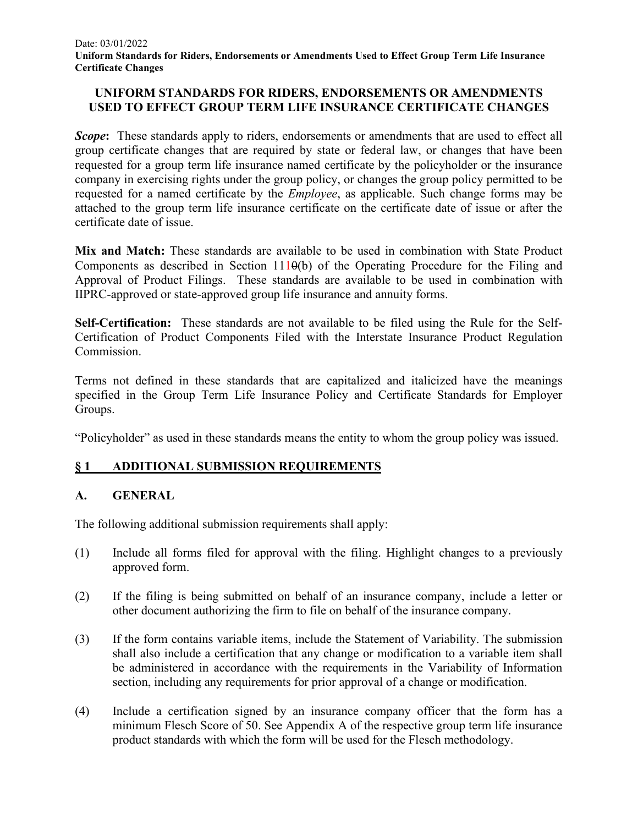## **UNIFORM STANDARDS FOR RIDERS, ENDORSEMENTS OR AMENDMENTS USED TO EFFECT GROUP TERM LIFE INSURANCE CERTIFICATE CHANGES**

**Scope:** These standards apply to riders, endorsements or amendments that are used to effect all group certificate changes that are required by state or federal law, or changes that have been requested for a group term life insurance named certificate by the policyholder or the insurance company in exercising rights under the group policy, or changes the group policy permitted to be requested for a named certificate by the *Employee*, as applicable. Such change forms may be attached to the group term life insurance certificate on the certificate date of issue or after the certificate date of issue.

**Mix and Match:** These standards are available to be used in combination with State Product Components as described in Section  $1110(b)$  of the Operating Procedure for the Filing and Approval of Product Filings. These standards are available to be used in combination with IIPRC-approved or state-approved group life insurance and annuity forms.

**Self-Certification:** These standards are not available to be filed using the Rule for the Self-Certification of Product Components Filed with the Interstate Insurance Product Regulation Commission.

Terms not defined in these standards that are capitalized and italicized have the meanings specified in the Group Term Life Insurance Policy and Certificate Standards for Employer Groups.

"Policyholder" as used in these standards means the entity to whom the group policy was issued.

# **§ 1 ADDITIONAL SUBMISSION REQUIREMENTS**

# **A. GENERAL**

The following additional submission requirements shall apply:

- (1) Include all forms filed for approval with the filing. Highlight changes to a previously approved form.
- (2) If the filing is being submitted on behalf of an insurance company, include a letter or other document authorizing the firm to file on behalf of the insurance company.
- (3) If the form contains variable items, include the Statement of Variability. The submission shall also include a certification that any change or modification to a variable item shall be administered in accordance with the requirements in the Variability of Information section, including any requirements for prior approval of a change or modification.
- (4) Include a certification signed by an insurance company officer that the form has a minimum Flesch Score of 50. See Appendix A of the respective group term life insurance product standards with which the form will be used for the Flesch methodology.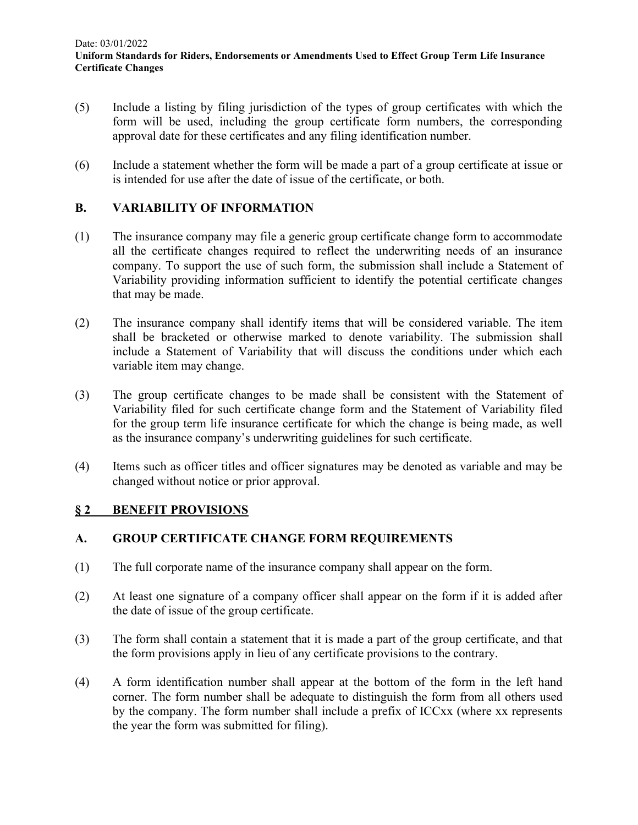- (5) Include a listing by filing jurisdiction of the types of group certificates with which the form will be used, including the group certificate form numbers, the corresponding approval date for these certificates and any filing identification number.
- (6) Include a statement whether the form will be made a part of a group certificate at issue or is intended for use after the date of issue of the certificate, or both.

## **B. VARIABILITY OF INFORMATION**

- (1) The insurance company may file a generic group certificate change form to accommodate all the certificate changes required to reflect the underwriting needs of an insurance company. To support the use of such form, the submission shall include a Statement of Variability providing information sufficient to identify the potential certificate changes that may be made.
- (2) The insurance company shall identify items that will be considered variable. The item shall be bracketed or otherwise marked to denote variability. The submission shall include a Statement of Variability that will discuss the conditions under which each variable item may change.
- (3) The group certificate changes to be made shall be consistent with the Statement of Variability filed for such certificate change form and the Statement of Variability filed for the group term life insurance certificate for which the change is being made, as well as the insurance company's underwriting guidelines for such certificate.
- (4) Items such as officer titles and officer signatures may be denoted as variable and may be changed without notice or prior approval.

### **§ 2 BENEFIT PROVISIONS**

### **A. GROUP CERTIFICATE CHANGE FORM REQUIREMENTS**

- (1) The full corporate name of the insurance company shall appear on the form.
- (2) At least one signature of a company officer shall appear on the form if it is added after the date of issue of the group certificate.
- (3) The form shall contain a statement that it is made a part of the group certificate, and that the form provisions apply in lieu of any certificate provisions to the contrary.
- (4) A form identification number shall appear at the bottom of the form in the left hand corner. The form number shall be adequate to distinguish the form from all others used by the company. The form number shall include a prefix of ICCxx (where xx represents the year the form was submitted for filing).